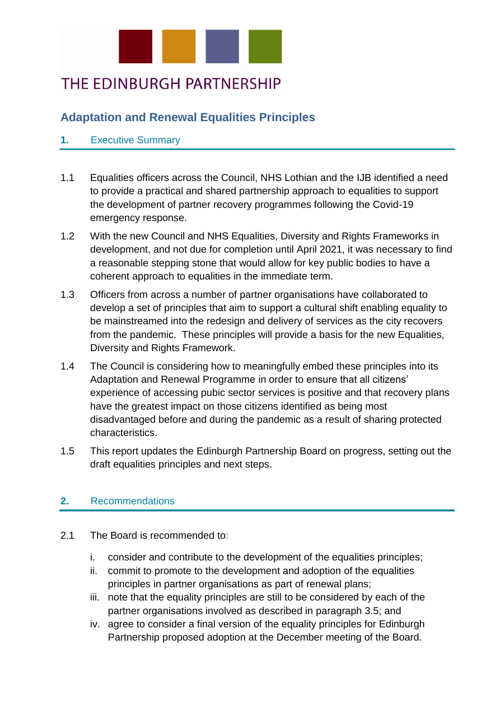

# THE EDINBURGH PARTNERSHIP

# **Adaptation and Renewal Equalities Principles**

# **1.** Executive Summary

- 1.1 Equalities officers across the Council, NHS Lothian and the IJB identified a need to provide a practical and shared partnership approach to equalities to support the development of partner recovery programmes following the Covid-19 emergency response.
- 1.2 With the new Council and NHS Equalities, Diversity and Rights Frameworks in development, and not due for completion until April 2021, it was necessary to find a reasonable stepping stone that would allow for key public bodies to have a coherent approach to equalities in the immediate term.
- 1.3 Officers from across a number of partner organisations have collaborated to develop a set of principles that aim to support a cultural shift enabling equality to be mainstreamed into the redesign and delivery of services as the city recovers from the pandemic. These principles will provide a basis for the new Equalities, Diversity and Rights Framework.
- 1.4 The Council is considering how to meaningfully embed these principles into its Adaptation and Renewal Programme in order to ensure that all citizens' experience of accessing pubic sector services is positive and that recovery plans have the greatest impact on those citizens identified as being most disadvantaged before and during the pandemic as a result of sharing protected characteristics.
- 1.5 This report updates the Edinburgh Partnership Board on progress, setting out the draft equalities principles and next steps.

# **2.** Recommendations

- 2.1 The Board is recommended to:
	- i. consider and contribute to the development of the equalities principles;
	- ii. commit to promote to the development and adoption of the equalities principles in partner organisations as part of renewal plans;
	- iii. note that the equality principles are still to be considered by each of the partner organisations involved as described in paragraph 3.5; and
	- iv. agree to consider a final version of the equality principles for Edinburgh Partnership proposed adoption at the December meeting of the Board.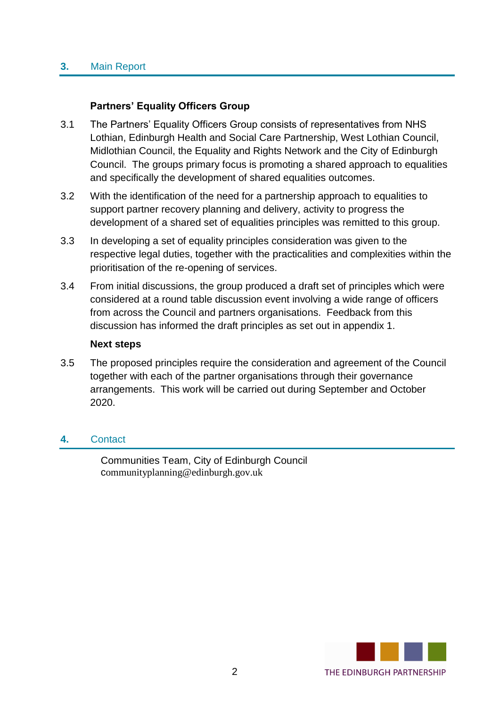#### **3.** Main Report

### **Partners' Equality Officers Group**

- 3.1 The Partners' Equality Officers Group consists of representatives from NHS Lothian, Edinburgh Health and Social Care Partnership, West Lothian Council, Midlothian Council, the Equality and Rights Network and the City of Edinburgh Council. The groups primary focus is promoting a shared approach to equalities and specifically the development of shared equalities outcomes.
- 3.2 With the identification of the need for a partnership approach to equalities to support partner recovery planning and delivery, activity to progress the development of a shared set of equalities principles was remitted to this group.
- 3.3 In developing a set of equality principles consideration was given to the respective legal duties, together with the practicalities and complexities within the prioritisation of the re-opening of services.
- 3.4 From initial discussions, the group produced a draft set of principles which were considered at a round table discussion event involving a wide range of officers from across the Council and partners organisations. Feedback from this discussion has informed the draft principles as set out in appendix 1.

#### **Next steps**

3.5 The proposed principles require the consideration and agreement of the Council together with each of the partner organisations through their governance arrangements. This work will be carried out during September and October 2020.

#### **4.** Contact

Communities Team, City of Edinburgh Council communityplanning@edinburgh.gov.uk

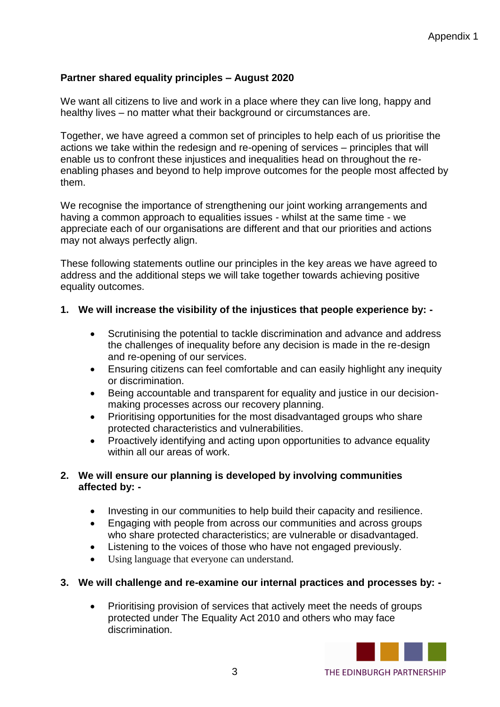# **Partner shared equality principles – August 2020**

We want all citizens to live and work in a place where they can live long, happy and healthy lives – no matter what their background or circumstances are.

Together, we have agreed a common set of principles to help each of us prioritise the actions we take within the redesign and re-opening of services – principles that will enable us to confront these injustices and inequalities head on throughout the reenabling phases and beyond to help improve outcomes for the people most affected by them.

We recognise the importance of strengthening our joint working arrangements and having a common approach to equalities issues - whilst at the same time - we appreciate each of our organisations are different and that our priorities and actions may not always perfectly align.

These following statements outline our principles in the key areas we have agreed to address and the additional steps we will take together towards achieving positive equality outcomes.

# **1. We will increase the visibility of the injustices that people experience by: -**

- Scrutinising the potential to tackle discrimination and advance and address the challenges of inequality before any decision is made in the re-design and re-opening of our services.
- Ensuring citizens can feel comfortable and can easily highlight any inequity or discrimination.
- Being accountable and transparent for equality and justice in our decisionmaking processes across our recovery planning.
- Prioritising opportunities for the most disadvantaged groups who share protected characteristics and vulnerabilities.
- Proactively identifying and acting upon opportunities to advance equality within all our areas of work.

#### **2. We will ensure our planning is developed by involving communities affected by: -**

- Investing in our communities to help build their capacity and resilience.
- Engaging with people from across our communities and across groups who share protected characteristics; are vulnerable or disadvantaged.
- Listening to the voices of those who have not engaged previously.
- Using language that everyone can understand.

#### **3. We will challenge and re-examine our internal practices and processes by: -**

• Prioritising provision of services that actively meet the needs of groups protected under The Equality Act 2010 and others who may face discrimination.